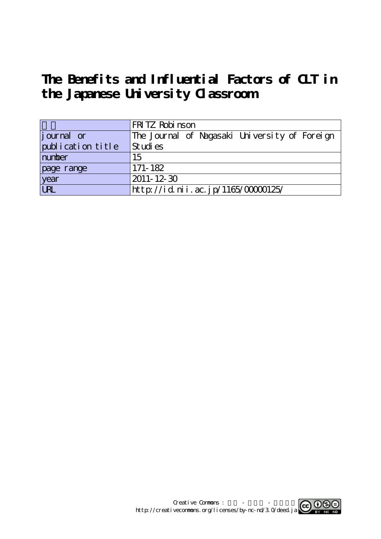# **The Benefits and Influential Factors of CLT in the Japanese University Classroom**

|                   | FRITZ Robi nson                               |
|-------------------|-----------------------------------------------|
| journal or        | The Journal of Nagasaki University of Foreign |
| publication title | Studies                                       |
| number            | 15                                            |
| page range        | 171-182                                       |
| year<br>URL       | $2011 - 12 - 30$                              |
|                   | http://id.nii.ac.jp/1165/00000125/            |

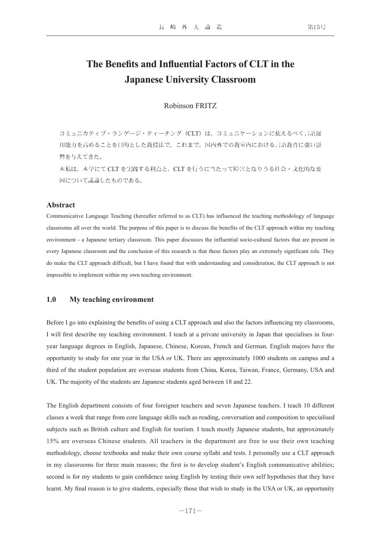# **The Benefits and Influential Factors of CLT in the Japanese University Classroom**

#### Robinson FRITZ

コミュニカティブ・ランゲージ・ティーチング (CLT) は、コミュニケーションに使えるべく言語運 用能力を高めることを目的とした教授法で、これまで、国内外での教室内における言語教育に強い影 響を与えてきた。

本稿は、本学にて CLT を実践する利点と、CLT を行うに当たって障害となりうる社会・文化的な要 因について議論したものである。

#### **Abstract**

Communicative Language Teaching (hereafter referred to as CLT) has influenced the teaching methodology of language classrooms all over the world. The purpose of this paper is to discuss the benefits of the CLT approach within my teaching environment - a Japanese tertiary classroom. This paper discusses the influential socio-cultural factors that are present in every Japanese classroom and the conclusion of this research is that these factors play an extremely significant role. They do make the CLT approach difficult, but I have found that with understanding and consideration, the CLT approach is not impossible to implement within my own teaching environment.

#### **1.0 My teaching environment**

Before I go into explaining the benefits of using a CLT approach and also the factors influencing my classrooms, I will first describe my teaching environment. I teach at a private university in Japan that specialises in fouryear language degrees in English, Japanese, Chinese, Korean, French and German. English majors have the opportunity to study for one year in the USA or UK. There are approximately 1000 students on campus and a third of the student population are overseas students from China, Korea, Taiwan, France, Germany, USA and UK. The majority of the students are Japanese students aged between 18 and 22.

The English department consists of four foreigner teachers and seven Japanese teachers. I teach 10 different classes a week that range from core language skills such as reading, conversation and composition to specialised subjects such as British culture and English for tourism. I teach mostly Japanese students, but approximately 15% are overseas Chinese students. All teachers in the department are free to use their own teaching methodology, choose textbooks and make their own course syllabi and tests. I personally use a CLT approach in my classrooms for three main reasons; the first is to develop student's English communicative abilities; second is for my students to gain confidence using English by testing their own self hypotheses that they have learnt. My final reason is to give students, especially those that wish to study in the USA or UK, an opportunity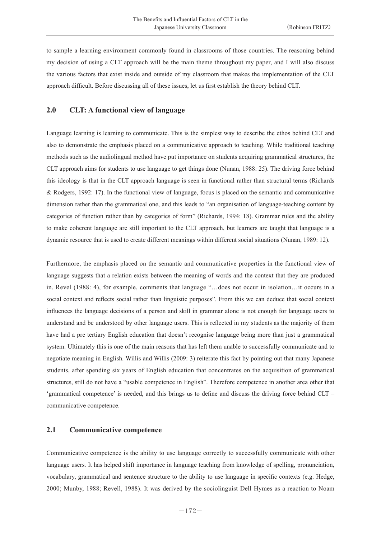to sample a learning environment commonly found in classrooms of those countries. The reasoning behind my decision of using a CLT approach will be the main theme throughout my paper, and I will also discuss the various factors that exist inside and outside of my classroom that makes the implementation of the CLT approach difficult. Before discussing all of these issues, let us first establish the theory behind CLT.

# **2.0 CLT: A functional view of language**

Language learning is learning to communicate. This is the simplest way to describe the ethos behind CLT and also to demonstrate the emphasis placed on a communicative approach to teaching. While traditional teaching methods such as the audiolingual method have put importance on students acquiring grammatical structures, the CLT approach aims for students to use language to get things done (Nunan, 1988: 25). The driving force behind this ideology is that in the CLT approach language is seen in functional rather than structural terms (Richards & Rodgers, 1992: 17). In the functional view of language, focus is placed on the semantic and communicative dimension rather than the grammatical one, and this leads to "an organisation of language-teaching content by categories of function rather than by categories of form" (Richards, 1994: 18). Grammar rules and the ability to make coherent language are still important to the CLT approach, but learners are taught that language is a dynamic resource that is used to create different meanings within different social situations (Nunan, 1989: 12).

Furthermore, the emphasis placed on the semantic and communicative properties in the functional view of language suggests that a relation exists between the meaning of words and the context that they are produced in. Revel (1988: 4), for example, comments that language "…does not occur in isolation…it occurs in a social context and reflects social rather than linguistic purposes". From this we can deduce that social context influences the language decisions of a person and skill in grammar alone is not enough for language users to understand and be understood by other language users. This is reflected in my students as the majority of them have had a pre tertiary English education that doesn't recognise language being more than just a grammatical system. Ultimately this is one of the main reasons that has left them unable to successfully communicate and to negotiate meaning in English. Willis and Willis (2009: 3) reiterate this fact by pointing out that many Japanese students, after spending six years of English education that concentrates on the acquisition of grammatical structures, still do not have a "usable competence in English". Therefore competence in another area other that 'grammatical competence' is needed, and this brings us to define and discuss the driving force behind CLT – communicative competence.

#### **2.1 Communicative competence**

Communicative competence is the ability to use language correctly to successfully communicate with other language users. It has helped shift importance in language teaching from knowledge of spelling, pronunciation, vocabulary, grammatical and sentence structure to the ability to use language in specific contexts (e.g. Hedge, 2000; Munby, 1988; Revell, 1988). It was derived by the sociolinguist Dell Hymes as a reaction to Noam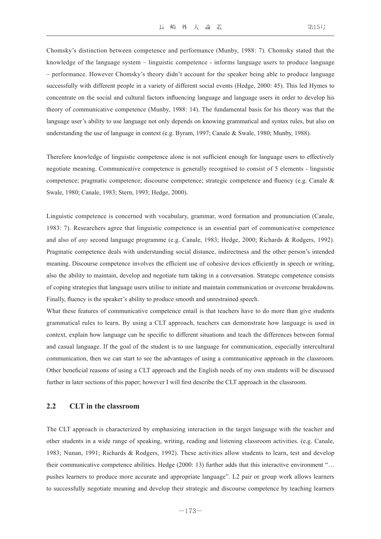Chomsky's distinction between competence and performance (Munby, 1988: 7). Chomsky stated that the knowledge of the language system – linguistic competence - informs language users to produce language – performance. However Chomsky's theory didn't account for the speaker being able to produce language successfully with different people in a variety of different social events (Hedge, 2000: 45). This led Hymes to concentrate on the social and cultural factors influencing language and language users in order to develop his theory of communicative competence (Munby, 1988: 14). The fundamental basis for his theory was that the language user's ability to use language not only depends on knowing grammatical and syntax rules, but also on understanding the use of language in context (e.g. Byram, 1997; Canale & Swale, 1980; Munby, 1988).

Therefore knowledge of linguistic competence alone is not sufficient enough for language users to effectively negotiate meaning. Communicative competence is generally recognised to consist of 5 elements - linguistic competence; pragmatic competence; discourse competence; strategic competence and fluency (e.g. Canale & Swale, 1980; Canale, 1983; Stern, 1993; Hedge, 2000).

Linguistic competence is concerned with vocabulary, grammar, word formation and pronunciation (Canale, 1983: 7). Researchers agree that linguistic competence is an essential part of communicative competence and also of *any* second language programme (e.g. Canale, 1983; Hedge, 2000; Richards & Rodgers, 1992). Pragmatic competence deals with understanding social distance, indirectness and the other person's intended meaning. Discourse competence involves the efficient use of cohesive devices efficiently in speech or writing, also the ability to maintain, develop and negotiate turn taking in a conversation. Strategic competence consists of coping strategies that language users utilise to initiate and maintain communication or overcome breakdowns. Finally, fluency is the speaker's ability to produce smooth and unrestrained speech.

What these features of communicative competence entail is that teachers have to do more than give students grammatical rules to learn. By using a CLT approach, teachers can demonstrate how language is used in context, explain how language can be specific to different situations and teach the differences between formal and casual language. If the goal of the student is to use language for communication, especially intercultural communication, then we can start to see the advantages of using a communicative approach in the classroom. Other beneficial reasons of using a CLT approach and the English needs of my own students will be discussed further in later sections of this paper; however I will first describe the CLT approach in the classroom.

# **2.2 CLT in the classroom**

The CLT approach is characterized by emphasizing interaction in the target language with the teacher and other students in a wide range of speaking, writing, reading and listening classroom activities. (e.g. Canale, 1983; Nunan, 1991; Richards & Rodgers, 1992). These activities allow students to learn, test and develop their communicative competence abilities. Hedge (2000: 13) further adds that this interactive environment "… pushes learners to produce more accurate and appropriate language". L2 pair or group work allows learners to successfully negotiate meaning and develop their strategic and discourse competence by teaching learners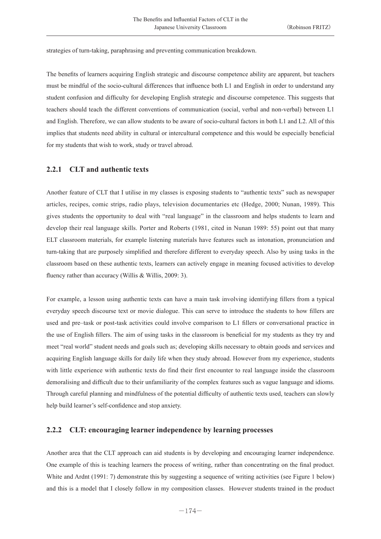strategies of turn-taking, paraphrasing and preventing communication breakdown.

The benefits of learners acquiring English strategic and discourse competence ability are apparent, but teachers must be mindful of the socio-cultural differences that influence both L1 and English in order to understand any student confusion and difficulty for developing English strategic and discourse competence. This suggests that teachers should teach the different conventions of communication (social, verbal and non-verbal) between L1 and English. Therefore, we can allow students to be aware of socio-cultural factors in both L1 and L2. All of this implies that students need ability in cultural or intercultural competence and this would be especially beneficial for my students that wish to work, study or travel abroad.

#### **2.2.1 CLT and authentic texts**

Another feature of CLT that I utilise in my classes is exposing students to "authentic texts" such as newspaper articles, recipes, comic strips, radio plays, television documentaries etc (Hedge, 2000; Nunan, 1989). This gives students the opportunity to deal with "real language" in the classroom and helps students to learn and develop their real language skills. Porter and Roberts (1981, cited in Nunan 1989: 55) point out that many ELT classroom materials, for example listening materials have features such as intonation, pronunciation and turn-taking that are purposely simplified and therefore different to everyday speech. Also by using tasks in the classroom based on these authentic texts, learners can actively engage in meaning focused activities to develop fluency rather than accuracy (Willis & Willis, 2009: 3).

For example, a lesson using authentic texts can have a main task involving identifying fillers from a typical everyday speech discourse text or movie dialogue. This can serve to introduce the students to how fillers are used and pre–task or post-task activities could involve comparison to L1 fillers or conversational practice in the use of English fillers. The aim of using tasks in the classroom is beneficial for my students as they try and meet "real world" student needs and goals such as; developing skills necessary to obtain goods and services and acquiring English language skills for daily life when they study abroad. However from my experience, students with little experience with authentic texts do find their first encounter to real language inside the classroom demoralising and difficult due to their unfamiliarity of the complex features such as vague language and idioms. Through careful planning and mindfulness of the potential difficulty of authentic texts used, teachers can slowly help build learner's self-confidence and stop anxiety.

#### **2.2.2 CLT: encouraging learner independence by learning processes**

Another area that the CLT approach can aid students is by developing and encouraging learner independence. One example of this is teaching learners the process of writing, rather than concentrating on the final product. White and Ardnt (1991: 7) demonstrate this by suggesting a sequence of writing activities (see Figure 1 below) and this is a model that I closely follow in my composition classes. However students trained in the product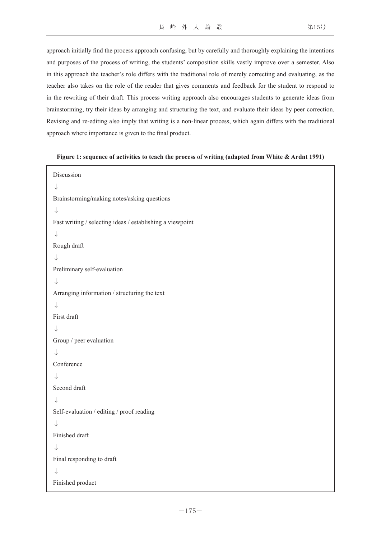approach initially find the process approach confusing, but by carefully and thoroughly explaining the intentions and purposes of the process of writing, the students' composition skills vastly improve over a semester. Also in this approach the teacher's role differs with the traditional role of merely correcting and evaluating, as the teacher also takes on the role of the reader that gives comments and feedback for the student to respond to in the rewriting of their draft. This process writing approach also encourages students to generate ideas from brainstorming, try their ideas by arranging and structuring the text, and evaluate their ideas by peer correction. Revising and re-editing also imply that writing is a non-linear process, which again differs with the traditional approach where importance is given to the final product.

#### **Figure 1: sequence of activities to teach the process of writing (adapted from White & Ardnt 1991)**

```
Discussion
 \downarrowBrainstorming/making notes/asking questions
↓
Fast writing / selecting ideas / establishing a viewpoint
↓
Rough draft
↓
Preliminary self-evaluation
↓
Arranging information / structuring the text
↓
First draft
\downarrowGroup / peer evaluation
↓
Conference
↓
Second draft
↓
Self-evaluation / editing / proof reading
↓
Finished draft
↓
Final responding to draft
↓
Finished product
```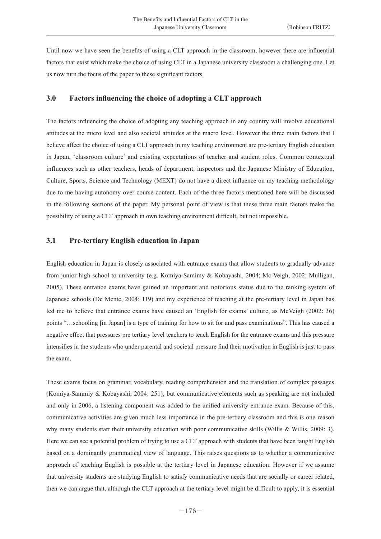Until now we have seen the benefits of using a CLT approach in the classroom, however there are influential factors that exist which make the choice of using CLT in a Japanese university classroom a challenging one. Let us now turn the focus of the paper to these significant factors

#### **3.0 Factors influencing the choice of adopting a CLT approach**

The factors influencing the choice of adopting any teaching approach in any country will involve educational attitudes at the micro level and also societal attitudes at the macro level. However the three main factors that I believe affect the choice of using a CLT approach in my teaching environment are pre-tertiary English education in Japan, 'classroom culture' and existing expectations of teacher and student roles. Common contextual influences such as other teachers, heads of department, inspectors and the Japanese Ministry of Education, Culture, Sports, Science and Technology (MEXT) do not have a direct influence on my teaching methodology due to me having autonomy over course content. Each of the three factors mentioned here will be discussed in the following sections of the paper. My personal point of view is that these three main factors make the possibility of using a CLT approach in own teaching environment difficult, but not impossible.

# **3.1 Pre-tertiary English education in Japan**

English education in Japan is closely associated with entrance exams that allow students to gradually advance from junior high school to university (e.g. Komiya-Samimy & Kobayashi, 2004; Mc Veigh, 2002; Mulligan, 2005). These entrance exams have gained an important and notorious status due to the ranking system of Japanese schools (De Mente, 2004: 119) and my experience of teaching at the pre-tertiary level in Japan has led me to believe that entrance exams have caused an 'English for exams' culture, as McVeigh (2002: 36) points "…schooling [in Japan] is a type of training for how to sit for and pass examinations". This has caused a negative effect that pressures pre tertiary level teachers to teach English for the entrance exams and this pressure intensifies in the students who under parental and societal pressure find their motivation in English is just to pass the exam.

These exams focus on grammar, vocabulary, reading comprehension and the translation of complex passages (Komiya-Sammiy & Kobayashi, 2004: 251), but communicative elements such as speaking are not included and only in 2006, a listening component was added to the unified university entrance exam. Because of this, communicative activities are given much less importance in the pre-tertiary classroom and this is one reason why many students start their university education with poor communicative skills (Willis & Willis, 2009: 3). Here we can see a potential problem of trying to use a CLT approach with students that have been taught English based on a dominantly grammatical view of language. This raises questions as to whether a communicative approach of teaching English is possible at the tertiary level in Japanese education. However if we assume that university students are studying English to satisfy communicative needs that are socially or career related, then we can argue that, although the CLT approach at the tertiary level might be difficult to apply, it is essential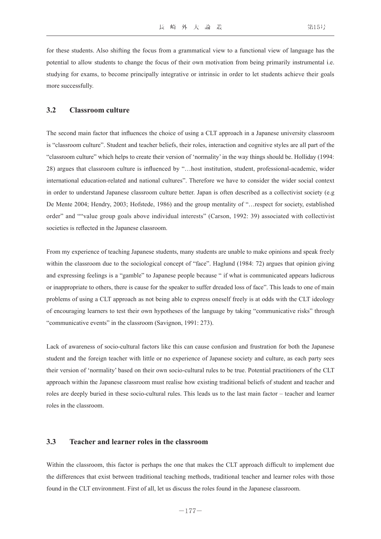for these students. Also shifting the focus from a grammatical view to a functional view of language has the potential to allow students to change the focus of their own motivation from being primarily instrumental i.e. studying for exams, to become principally integrative or intrinsic in order to let students achieve their goals more successfully.

# **3.2 Classroom culture**

The second main factor that influences the choice of using a CLT approach in a Japanese university classroom is "classroom culture". Student and teacher beliefs, their roles, interaction and cognitive styles are all part of the "classroom culture" which helps to create their version of 'normality' in the way things should be. Holliday (1994: 28) argues that classroom culture is influenced by "…host institution, student, professional-academic, wider international education-related and national cultures". Therefore we have to consider the wider social context in order to understand Japanese classroom culture better. Japan is often described as a collectivist society (e.g De Mente 2004; Hendry, 2003; Hofstede, 1986) and the group mentality of "…respect for society, established order" and ""value group goals above individual interests" (Carson, 1992: 39) associated with collectivist societies is reflected in the Japanese classroom.

From my experience of teaching Japanese students, many students are unable to make opinions and speak freely within the classroom due to the sociological concept of "face". Haglund (1984: 72) argues that opinion giving and expressing feelings is a "gamble" to Japanese people because " if what is communicated appears ludicrous or inappropriate to others, there is cause for the speaker to suffer dreaded loss of face". This leads to one of main problems of using a CLT approach as not being able to express oneself freely is at odds with the CLT ideology of encouraging learners to test their own hypotheses of the language by taking "communicative risks" through "communicative events" in the classroom (Savignon, 1991: 273).

Lack of awareness of socio-cultural factors like this can cause confusion and frustration for both the Japanese student and the foreign teacher with little or no experience of Japanese society and culture, as each party sees their version of 'normality' based on their own socio-cultural rules to be true. Potential practitioners of the CLT approach within the Japanese classroom must realise how existing traditional beliefs of student and teacher and roles are deeply buried in these socio-cultural rules. This leads us to the last main factor – teacher and learner roles in the classroom.

#### **3.3 Teacher and learner roles in the classroom**

Within the classroom, this factor is perhaps the one that makes the CLT approach difficult to implement due the differences that exist between traditional teaching methods, traditional teacher and learner roles with those found in the CLT environment. First of all, let us discuss the roles found in the Japanese classroom.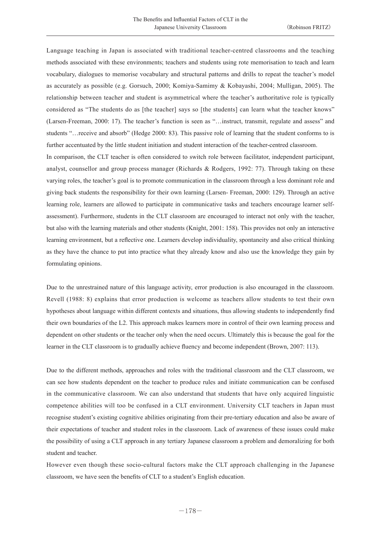Language teaching in Japan is associated with traditional teacher-centred classrooms and the teaching methods associated with these environments; teachers and students using rote memorisation to teach and learn vocabulary, dialogues to memorise vocabulary and structural patterns and drills to repeat the teacher's model as accurately as possible (e.g. Gorsuch, 2000; Komiya-Samimy & Kobayashi, 2004; Mulligan, 2005). The relationship between teacher and student is asymmetrical where the teacher's authoritative role is typically considered as "The students do as [the teacher] says so [the students] can learn what the teacher knows" (Larsen-Freeman, 2000: 17). The teacher's function is seen as "…instruct, transmit, regulate and assess" and students "…receive and absorb" (Hedge 2000: 83). This passive role of learning that the student conforms to is further accentuated by the little student initiation and student interaction of the teacher-centred classroom.

In comparison, the CLT teacher is often considered to switch role between facilitator, independent participant, analyst, counsellor and group process manager (Richards & Rodgers, 1992: 77). Through taking on these varying roles, the teacher's goal is to promote communication in the classroom through a less dominant role and giving back students the responsibility for their own learning (Larsen- Freeman, 2000: 129). Through an active learning role, learners are allowed to participate in communicative tasks and teachers encourage learner selfassessment). Furthermore, students in the CLT classroom are encouraged to interact not only with the teacher, but also with the learning materials and other students (Knight, 2001: 158). This provides not only an interactive learning environment, but a reflective one. Learners develop individuality, spontaneity and also critical thinking as they have the chance to put into practice what they already know and also use the knowledge they gain by formulating opinions.

Due to the unrestrained nature of this language activity, error production is also encouraged in the classroom. Revell (1988: 8) explains that error production is welcome as teachers allow students to test their own hypotheses about language within different contexts and situations, thus allowing students to independently find their own boundaries of the L2. This approach makes learners more in control of their own learning process and dependent on other students or the teacher only when the need occurs. Ultimately this is because the goal for the learner in the CLT classroom is to gradually achieve fluency and become independent (Brown, 2007: 113).

Due to the different methods, approaches and roles with the traditional classroom and the CLT classroom, we can see how students dependent on the teacher to produce rules and initiate communication can be confused in the communicative classroom. We can also understand that students that have only acquired linguistic competence abilities will too be confused in a CLT environment. University CLT teachers in Japan must recognise student's existing cognitive abilities originating from their pre-tertiary education and also be aware of their expectations of teacher and student roles in the classroom. Lack of awareness of these issues could make the possibility of using a CLT approach in any tertiary Japanese classroom a problem and demoralizing for both student and teacher.

However even though these socio-cultural factors make the CLT approach challenging in the Japanese classroom, we have seen the benefits of CLT to a student's English education.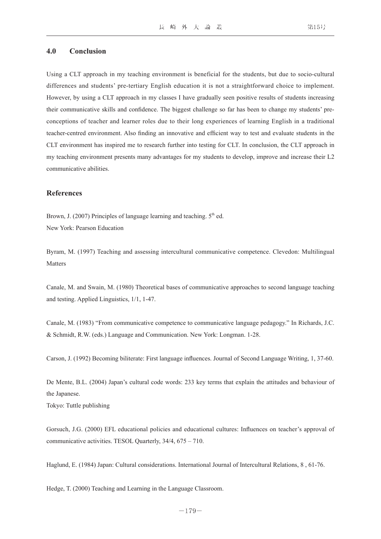#### **4.0 Conclusion**

Using a CLT approach in my teaching environment is beneficial for the students, but due to socio-cultural differences and students' pre-tertiary English education it is not a straightforward choice to implement. However, by using a CLT approach in my classes I have gradually seen positive results of students increasing their communicative skills and confidence. The biggest challenge so far has been to change my students' preconceptions of teacher and learner roles due to their long experiences of learning English in a traditional teacher-centred environment. Also finding an innovative and efficient way to test and evaluate students in the CLT environment has inspired me to research further into testing for CLT. In conclusion, the CLT approach in my teaching environment presents many advantages for my students to develop, improve and increase their L2 communicative abilities.

#### **References**

Brown, J. (2007) Principles of language learning and teaching.  $5<sup>th</sup>$  ed. New York: Pearson Education

Byram, M. (1997) Teaching and assessing intercultural communicative competence. Clevedon: Multilingual Matters

Canale, M. and Swain, M. (1980) Theoretical bases of communicative approaches to second language teaching and testing. Applied Linguistics, 1/1, 1-47.

Canale, M. (1983) "From communicative competence to communicative language pedagogy." In Richards, J.C. & Schmidt, R.W. (eds.) Language and Communication. New York: Longman. 1-28.

Carson, J. (1992) Becoming biliterate: First language influences. Journal of Second Language Writing, 1, 37-60.

De Mente, B.L. (2004) Japan's cultural code words: 233 key terms that explain the attitudes and behaviour of the Japanese.

Tokyo: Tuttle publishing

Gorsuch, J.G. (2000) EFL educational policies and educational cultures: Influences on teacher's approval of communicative activities. TESOL Quarterly, 34/4, 675 – 710.

Haglund, E. (1984) Japan: Cultural considerations. International Journal of Intercultural Relations, 8 , 61-76.

Hedge, T. (2000) Teaching and Learning in the Language Classroom.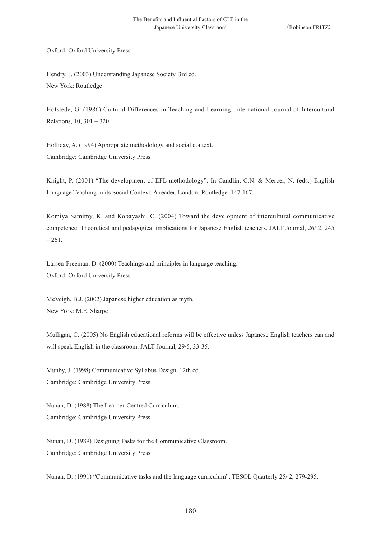Oxford: Oxford University Press

Hendry, J. (2003) Understanding Japanese Society. 3rd ed. New York: Routledge

Hofstede, G. (1986) Cultural Differences in Teaching and Learning. International Journal of Intercultural Relations, 10, 301 – 320.

Holliday, A. (1994) Appropriate methodology and social context. Cambridge: Cambridge University Press

Knight, P. (2001) "The development of EFL methodology". In Candlin, C.N. & Mercer, N. (eds.) English Language Teaching in its Social Context: A reader. London: Routledge. 147-167.

Komiya Samimy, K. and Kobayashi, C. (2004) Toward the development of intercultural communicative competence: Theoretical and pedagogical implications for Japanese English teachers. JALT Journal, 26/ 2, 245  $-261.$ 

Larsen-Freeman, D. (2000) Teachings and principles in language teaching. Oxford: Oxford University Press.

McVeigh, B.J. (2002) Japanese higher education as myth. New York: M.E. Sharpe

Mulligan, C. (2005) No English educational reforms will be effective unless Japanese English teachers can and will speak English in the classroom. JALT Journal, 29/5, 33-35.

Munby, J. (1998) Communicative Syllabus Design. 12th ed. Cambridge: Cambridge University Press

Nunan, D. (1988) The Learner-Centred Curriculum. Cambridge: Cambridge University Press

Nunan, D. (1989) Designing Tasks for the Communicative Classroom. Cambridge: Cambridge University Press

Nunan, D. (1991) "Communicative tasks and the language curriculum". TESOL Quarterly 25/ 2, 279-295.